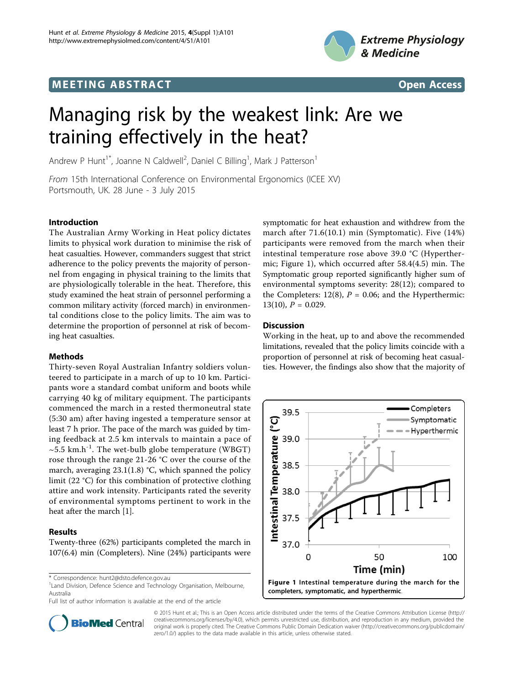## **MEETING ABSTRACT CONSUMING ABSTRACT**





# Managing risk by the weakest link: Are we training effectively in the heat?

Andrew P Hunt<sup>1\*</sup>, Joanne N Caldwell<sup>2</sup>, Daniel C Billing<sup>1</sup>, Mark J Patterson<sup>1</sup>

From 15th International Conference on Environmental Ergonomics (ICEE XV) Portsmouth, UK. 28 June - 3 July 2015

## Introduction

The Australian Army Working in Heat policy dictates limits to physical work duration to minimise the risk of heat casualties. However, commanders suggest that strict adherence to the policy prevents the majority of personnel from engaging in physical training to the limits that are physiologically tolerable in the heat. Therefore, this study examined the heat strain of personnel performing a common military activity (forced march) in environmental conditions close to the policy limits. The aim was to determine the proportion of personnel at risk of becoming heat casualties.

## Methods

Thirty-seven Royal Australian Infantry soldiers volunteered to participate in a march of up to 10 km. Participants wore a standard combat uniform and boots while carrying 40 kg of military equipment. The participants commenced the march in a rested thermoneutral state (5:30 am) after having ingested a temperature sensor at least 7 h prior. The pace of the march was guided by timing feedback at 2.5 km intervals to maintain a pace of  $\sim$ 5.5 km.h<sup>-1</sup>. The wet-bulb globe temperature (WBGT) rose through the range 21-26 °C over the course of the march, averaging 23.1(1.8) °C, which spanned the policy limit (22 °C) for this combination of protective clothing attire and work intensity. Participants rated the severity of environmental symptoms pertinent to work in the heat after the march [\[1\]](#page-1-0).

## Results

Twenty-three (62%) participants completed the march in 107(6.4) min (Completers). Nine (24%) participants were

\* Correspondence: [hunt2@dsto.defence.gov.au](mailto:hunt2@dsto.defence.gov.au)

<sup>1</sup> Land Division, Defence Science and Technology Organisation, Melbourne, Australia

Full list of author information is available at the end of the article



symptomatic for heat exhaustion and withdrew from the march after 71.6(10.1) min (Symptomatic). Five (14%) participants were removed from the march when their intestinal temperature rose above 39.0 °C (Hyperthermic; Figure 1), which occurred after 58.4(4.5) min. The Symptomatic group reported significantly higher sum of environmental symptoms severity: 28(12); compared to the Completers:  $12(8)$ ,  $P = 0.06$ ; and the Hyperthermic:  $13(10)$ ,  $P = 0.029$ .

#### **Discussion**

Working in the heat, up to and above the recommended limitations, revealed that the policy limits coincide with a proportion of personnel at risk of becoming heat casualties. However, the findings also show that the majority of



© 2015 Hunt et al.; This is an Open Access article distributed under the terms of the Creative Commons Attribution License [\(http://](http://creativecommons.org/licenses/by/4.0) [creativecommons.org/licenses/by/4.0](http://creativecommons.org/licenses/by/4.0)), which permits unrestricted use, distribution, and reproduction in any medium, provided the original work is properly cited. The Creative Commons Public Domain Dedication waiver ([http://creativecommons.org/publicdomain/](http://creativecommons.org/publicdomain/zero/1.0/) [zero/1.0/](http://creativecommons.org/publicdomain/zero/1.0/)) applies to the data made available in this article, unless otherwise stated.